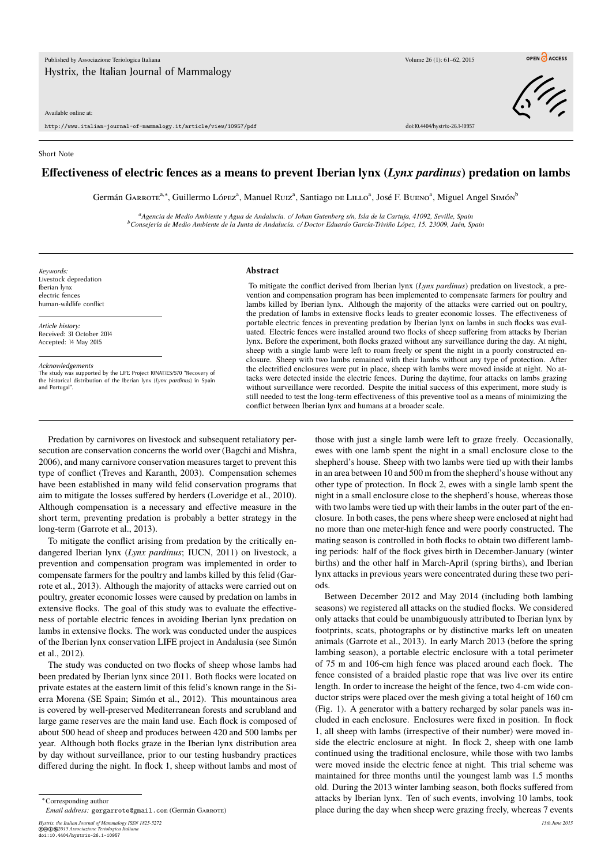Available online at:

http://www.italian-journal-of-mammalogy.it/article/view/10957/pdf doi:10.4404/hystrix-26.1-10957

Short Note

## **Effectiveness of electric fences as a means to prevent Iberian lynx (***Lynx pardinus***) predation on lambs**

Germán GARROTE<sup>a,∗</sup>, Guillermo López<sup>a</sup>, Manuel R∪z<sup>a</sup>, Santiago de Lπ.Lo<sup>a</sup>, José F. B∪eno<sup>a</sup>, Miguel Angel Simón<sup>b</sup>

*<sup>a</sup>Agencia de Medio Ambiente y Agua de Andalucía. c/ Johan Gutenberg s/n, Isla de la Cartuja, 41092, Seville, Spain <sup>b</sup>Consejería de Medio Ambiente de la Junta de Andalucía. c/ Doctor Eduardo García-Triviño López, 15. 23009, Jaén, Spain*

*Keywords:* Livestock depredation Iberian lynx electric fences human-wildlife conflict

*Article history:* Received: 31 October 2014 Accepted: 14 May 2015

*Acknowledgements*

The study was supported by the LIFE Project 10NAT/ES/570 "Recovery of the historical distribution of the Iberian lynx (*Lynx pardinus*) in Spain and Portugal".

## **Abstract**

To mitigate the conflict derived from Iberian lynx (*Lynx pardinus*) predation on livestock, a prevention and compensation program has been implemented to compensate farmers for poultry and lambs killed by Iberian lynx. Although the majority of the attacks were carried out on poultry, the predation of lambs in extensive flocks leads to greater economic losses. The effectiveness of portable electric fences in preventing predation by Iberian lynx on lambs in such flocks was evaluated. Electric fences were installed around two flocks of sheep suffering from attacks by Iberian lynx. Before the experiment, both flocks grazed without any surveillance during the day. At night, sheep with a single lamb were left to roam freely or spent the night in a poorly constructed enclosure. Sheep with two lambs remained with their lambs without any type of protection. After the electrified enclosures were put in place, sheep with lambs were moved inside at night. No attacks were detected inside the electric fences. During the daytime, four attacks on lambs grazing without surveillance were recorded. Despite the initial success of this experiment, more study is still needed to test the long-term effectiveness of this preventive tool as a means of minimizing the conflict between Iberian lynx and humans at a broader scale.

Predation by carnivores on livestock and subsequent retaliatory persecution are conservation concerns the world over (Bagchi and Mishra, 2006), and many carnivore conservation measures target to prevent this type of conflict (Treves and Karanth, 2003). Compensation schemes have been established in many wild felid conservation programs that aim to mitigate the losses suffered by herders (Loveridge et al., 2010). Although compensation is a necessary and effective measure in the short term, preventing predation is probably a better strategy in the long-term (Garrote et al., 2013).

To mitigate the conflict arising from predation by the critically endangered Iberian lynx (*Lynx pardinus*; IUCN, 2011) on livestock, a prevention and compensation program was implemented in order to compensate farmers for the poultry and lambs killed by this felid (Garrote et al., 2013). Although the majority of attacks were carried out on poultry, greater economic losses were caused by predation on lambs in extensive flocks. The goal of this study was to evaluate the effectiveness of portable electric fences in avoiding Iberian lynx predation on lambs in extensive flocks. The work was conducted under the auspices of the Iberian lynx conservation LIFE project in Andalusia (see Simón et al., 2012).

The study was conducted on two flocks of sheep whose lambs had been predated by Iberian lynx since 2011. Both flocks were located on private estates at the eastern limit of this felid's known range in the Sierra Morena (SE Spain; Simón et al., 2012). This mountainous area is covered by well-preserved Mediterranean forests and scrubland and large game reserves are the main land use. Each flock is composed of about 500 head of sheep and produces between 420 and 500 lambs per year. Although both flocks graze in the Iberian lynx distribution area by day without surveillance, prior to our testing husbandry practices differed during the night. In flock 1, sheep without lambs and most of

*Email address:* gergarrote@gmail.com (Germán Garrote)

*Hystrix, the Italian Journal of Mammalogy ISSN 1825-5272 13th June 2015* ©cbe*2015 Associazione Teriologica Italiana* doi:10.4404/hystrix-26.1-10957

those with just a single lamb were left to graze freely. Occasionally, ewes with one lamb spent the night in a small enclosure close to the shepherd's house. Sheep with two lambs were tied up with their lambs in an area between 10 and 500 m from the shepherd's house without any other type of protection. In flock 2, ewes with a single lamb spent the night in a small enclosure close to the shepherd's house, whereas those with two lambs were tied up with their lambs in the outer part of the enclosure. In both cases, the pens where sheep were enclosed at night had no more than one meter-high fence and were poorly constructed. The mating season is controlled in both flocks to obtain two different lambing periods: half of the flock gives birth in December-January (winter births) and the other half in March-April (spring births), and Iberian lynx attacks in previous years were concentrated during these two periods.

Between December 2012 and May 2014 (including both lambing seasons) we registered all attacks on the studied flocks. We considered only attacks that could be unambiguously attributed to Iberian lynx by footprints, scats, photographs or by distinctive marks left on uneaten animals (Garrote et al., 2013). In early March 2013 (before the spring lambing season), a portable electric enclosure with a total perimeter of 75 m and 106-cm high fence was placed around each flock. The fence consisted of a braided plastic rope that was live over its entire length. In order to increase the height of the fence, two 4-cm wide conductor strips were placed over the mesh giving a total height of 160 cm (Fig. 1). A generator with a battery recharged by solar panels was included in each enclosure. Enclosures were fixed in position. In flock 1, all sheep with lambs (irrespective of their number) were moved inside the electric enclosure at night. In flock 2, sheep with one lamb continued using the traditional enclosure, while those with two lambs were moved inside the electric fence at night. This trial scheme was maintained for three months until the youngest lamb was 1.5 months old. During the 2013 winter lambing season, both flocks suffered from attacks by Iberian lynx. Ten of such events, involving 10 lambs, took place during the day when sheep were grazing freely, whereas 7 events



OPEN CACCESS

<sup>∗</sup>Corresponding author